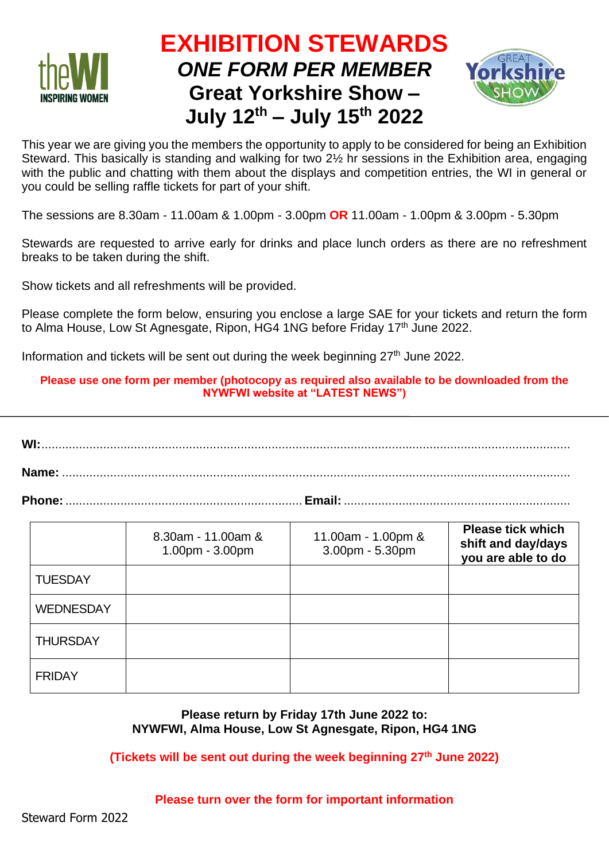

# **EXHIBITION STEWARDS** *ONE FORM PER MEMBER* **Great Yorkshire Show – July 12th – July 15 th 2022**



This year we are giving you the members the opportunity to apply to be considered for being an Exhibition Steward. This basically is standing and walking for two 2½ hr sessions in the Exhibition area, engaging with the public and chatting with them about the displays and competition entries, the WI in general or you could be selling raffle tickets for part of your shift.

The sessions are 8.30am - 11.00am & 1.00pm - 3.00pm **OR** 11.00am - 1.00pm & 3.00pm - 5.30pm

Stewards are requested to arrive early for drinks and place lunch orders as there are no refreshment breaks to be taken during the shift.

Show tickets and all refreshments will be provided.

Please complete the form below, ensuring you enclose a large SAE for your tickets and return the form to Alma House, Low St Agnesgate, Ripon, HG4 1NG before Friday 17<sup>th</sup> June 2022.

Information and tickets will be sent out during the week beginning  $27<sup>th</sup>$  June 2022.

#### **Please use one form per member (photocopy as required also available to be downloaded from the NYWFWI website at "LATEST NEWS")**

**WI:**.......................................................................................................................................................... **Name:** ....................................................................................................................................................

**Phone:**..................................................................... **Email:** ..................................................................

|                  | 8.30am - 11.00am &<br>1.00pm - 3.00pm | 11.00am - 1.00pm &<br>3.00pm - 5.30pm | <b>Please tick which</b><br>shift and day/days<br>you are able to do |
|------------------|---------------------------------------|---------------------------------------|----------------------------------------------------------------------|
| <b>TUESDAY</b>   |                                       |                                       |                                                                      |
| <b>WEDNESDAY</b> |                                       |                                       |                                                                      |
| <b>THURSDAY</b>  |                                       |                                       |                                                                      |
| <b>FRIDAY</b>    |                                       |                                       |                                                                      |

### **Please return by Friday 17th June 2022 to: NYWFWI, Alma House, Low St Agnesgate, Ripon, HG4 1NG**

**(Tickets will be sent out during the week beginning 27th June 2022)**

#### **Please turn over the form for important information**